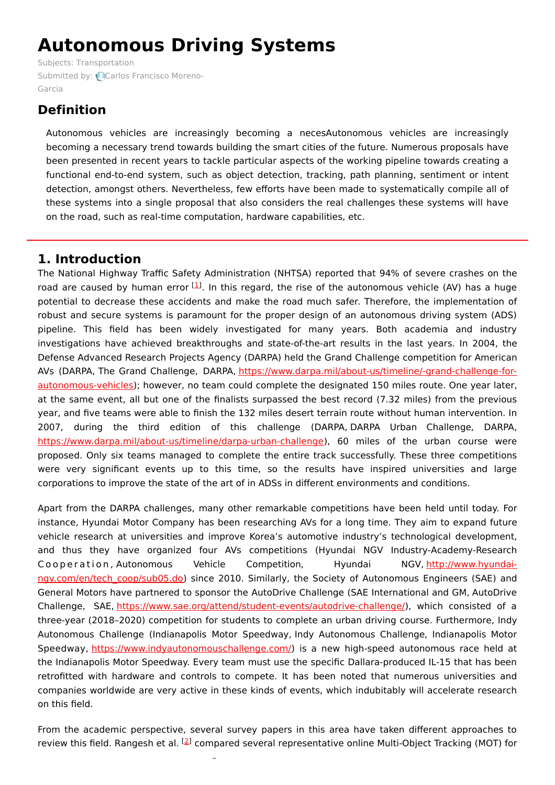# **Autonomous Driving Systems**

Subjects: [Transportation](https://encyclopedia.pub/item/subject/81) [Submitted](https://sciprofiles.com/profile/1123737) by: Carlos Francisco Moreno-Garcia

# **Definition**

Autonomous vehicles are increasingly becoming a necesAutonomous vehicles are increasingly becoming a necessary trend towards building the smart cities of the future. Numerous proposals have been presented in recent years to tackle particular aspects of the working pipeline towards creating a functional end-to-end system, such as object detection, tracking, path planning, sentiment or intent detection, amongst others. Nevertheless, few efforts have been made to systematically compile all of these systems into a single proposal that also considers the real challenges these systems will have on the road, such as real-time computation, hardware capabilities, etc.

# **1. Introduction**

The National Highway Traffic Safety Administration (NHTSA) reported that 94% of severe crashes on the road are caused by human error  $^{[1]}$  $^{[1]}$  $^{[1]}$ . In this regard, the rise of the autonomous vehicle (AV) has a huge potential to decrease these accidents and make the road much safer. Therefore, the implementation of robust and secure systems is paramount for the proper design of an autonomous driving system (ADS) pipeline. This field has been widely investigated for many years. Both academia and industry investigations have achieved breakthroughs and state-of-the-art results in the last years. In 2004, the Defense Advanced Research Projects Agency (DARPA) held the Grand Challenge competition for American AVs (DARPA, The Grand Challenge, DARPA, [https://www.darpa.mil/about-us/timeline/-grand-challenge-for](https://www.darpa.mil/about-us/timeline/-grand-challenge-for-autonomous-vehicles)autonomous-vehicles); however, no team could complete the designated 150 miles route. One year later, at the same event, all but one of the finalists surpassed the best record (7.32 miles) from the previous year, and five teams were able to finish the 132 miles desert terrain route without human intervention. In 2007, during the third edition of this challenge (DARPA, DARPA Urban Challenge, DARPA, <https://www.darpa.mil/about-us/timeline/darpa-urban-challenge>), 60 miles of the urban course were proposed. Only six teams managed to complete the entire track successfully. These three competitions were very significant events up to this time, so the results have inspired universities and large corporations to improve the state of the art of in ADSs in different environments and conditions.

Apart from the DARPA challenges, many other remarkable competitions have been held until today. For instance, Hyundai Motor Company has been researching AVs for a long time. They aim to expand future vehicle research at universities and improve Korea's automotive industry's technological development, and thus they have organized four AVs competitions (Hyundai NGV Industry-Academy-Research Cooperation, Autonomous Vehicle Competition, Hyundai NGV, http://www.hyundai[ngv.com/en/tech\\_coop/sub05.do\)](http://www.hyundai-ngv.com/en/tech_coop/sub05.do) since 2010. Similarly, the Society of Autonomous Engineers (SAE) and General Motors have partnered to sponsor the AutoDrive Challenge (SAE International and GM, AutoDrive Challenge, SAE, <https://www.sae.org/attend/student-events/autodrive-challenge/>), which consisted of a three-year (2018–2020) competition for students to complete an urban driving course. Furthermore, Indy Autonomous Challenge (Indianapolis Motor Speedway, Indy Autonomous Challenge, Indianapolis Motor Speedway, <https://www.indyautonomouschallenge.com/>) is a new high-speed autonomous race held at the Indianapolis Motor Speedway. Every team must use the specific Dallara-produced IL-15 that has been retrofitted with hardware and controls to compete. It has been noted that numerous universities and companies worldwide are very active in these kinds of events, which indubitably will accelerate research on this field.

From the academic perspective, several survey papers in this area have taken different approaches to review this field. Rangesh et al. <sup>[\[2](#page-10-1)]</sup> compared several representative online Multi-Object Tracking (MOT) for

Ī,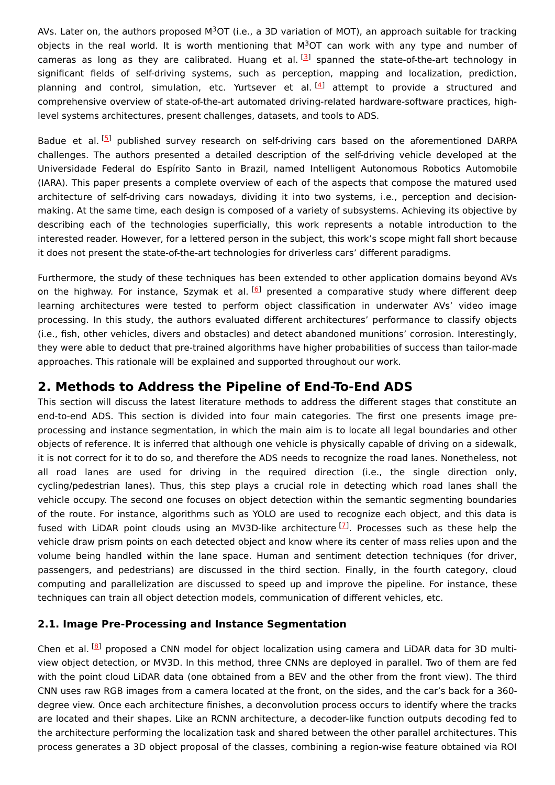AVs. Later on, the authors proposed M<sup>3</sup>OT (i.e., a 3D variation of MOT), an approach suitable for tracking objects in the real world. It is worth mentioning that  $M^3$ OT can work with any type and number of cameras as long as they are calibrated. Huang et al.<sup>[[3](#page-10-2)]</sup> spanned the state-of-the-art technology in significant fields of self-driving systems, such as perception, mapping and localization, prediction, planning and control, simulation, etc. Yurtsever et al.<sup>[\[4](#page-10-3)]</sup> attempt to provide a structured and comprehensive overview of state-of-the-art automated driving-related hardware-software practices, highlevel systems architectures, present challenges, datasets, and tools to ADS.

Badue et al.<sup>[[5](#page-10-4)]</sup> published survey research on self-driving cars based on the aforementioned DARPA challenges. The authors presented a detailed description of the self-driving vehicle developed at the Universidade Federal do Espírito Santo in Brazil, named Intelligent Autonomous Robotics Automobile (IARA). This paper presents a complete overview of each of the aspects that compose the matured used architecture of self-driving cars nowadays, dividing it into two systems, i.e., perception and decisionmaking. At the same time, each design is composed of a variety of subsystems. Achieving its objective by describing each of the technologies superficially, this work represents a notable introduction to the interested reader. However, for a lettered person in the subject, this work's scope might fall short because it does not present the state-of-the-art technologies for driverless cars' different paradigms.

Furthermore, the study of these techniques has been extended to other application domains beyond AVs on the highway. For instance, Szymak et al. <sup>[\[6](#page-10-5)]</sup> presented a comparative study where different deep learning architectures were tested to perform object classification in underwater AVs' video image processing. In this study, the authors evaluated different architectures' performance to classify objects (i.e., fish, other vehicles, divers and obstacles) and detect abandoned munitions' corrosion. Interestingly, they were able to deduct that pre-trained algorithms have higher probabilities of success than tailor-made approaches. This rationale will be explained and supported throughout our work.

# **2. Methods to Address the Pipeline of End-To-End ADS**

This section will discuss the latest literature methods to address the different stages that constitute an end-to-end ADS. This section is divided into four main categories. The first one presents image preprocessing and instance segmentation, in which the main aim is to locate all legal boundaries and other objects of reference. It is inferred that although one vehicle is physically capable of driving on a sidewalk, it is not correct for it to do so, and therefore the ADS needs to recognize the road lanes. Nonetheless, not all road lanes are used for driving in the required direction (i.e., the single direction only, cycling/pedestrian lanes). Thus, this step plays a crucial role in detecting which road lanes shall the vehicle occupy. The second one focuses on object detection within the semantic segmenting boundaries of the route. For instance, algorithms such as YOLO are used to recognize each object, and this data is fused with LiDAR point clouds using an MV3D-like architecture<sup>[Z]</sup>. Processes such as these help the vehicle draw prism points on each detected object and know where its center of mass relies upon and the volume being handled within the lane space. Human and sentiment detection techniques (for driver, passengers, and pedestrians) are discussed in the third section. Finally, in the fourth category, cloud computing and parallelization are discussed to speed up and improve the pipeline. For instance, these techniques can train all object detection models, communication of different vehicles, etc.

## **2.1. Image Pre-Processing and Instance Segmentation**

Chen et al. <sup>[\[8](#page-10-7)]</sup> proposed a CNN model for object localization using camera and LiDAR data for 3D multiview object detection, or MV3D. In this method, three CNNs are deployed in parallel. Two of them are fed with the point cloud LiDAR data (one obtained from a BEV and the other from the front view). The third CNN uses raw RGB images from a camera located at the front, on the sides, and the car's back for a 360 degree view. Once each architecture finishes, a deconvolution process occurs to identify where the tracks are located and their shapes. Like an RCNN architecture, a decoder-like function outputs decoding fed to the architecture performing the localization task and shared between the other parallel architectures. This process generates a 3D object proposal of the classes, combining a region-wise feature obtained via ROI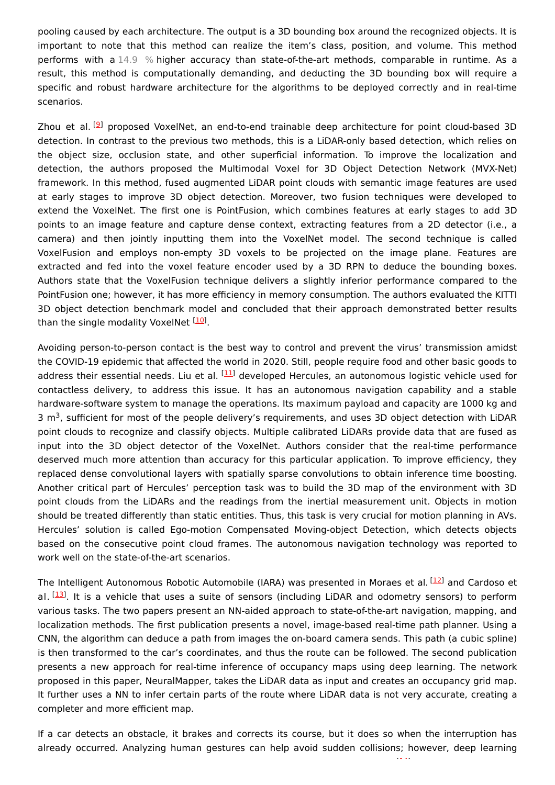pooling caused by each architecture. The output is a 3D bounding box around the recognized objects. It is important to note that this method can realize the item's class, position, and volume. This method performs with a 14.9 % higher accuracy than state-of-the-art methods, comparable in runtime. As a result, this method is computationally demanding, and deducting the 3D bounding box will require a specific and robust hardware architecture for the algorithms to be deployed correctly and in real-time scenarios.

Zhou et al. <sup>[[9](#page-10-8)]</sup> proposed VoxelNet, an end-to-end trainable deep architecture for point cloud-based 3D detection. In contrast to the previous two methods, this is a LiDAR-only based detection, which relies on the object size, occlusion state, and other superficial information. To improve the localization and detection, the authors proposed the Multimodal Voxel for 3D Object Detection Network (MVX-Net) framework. In this method, fused augmented LiDAR point clouds with semantic image features are used at early stages to improve 3D object detection. Moreover, two fusion techniques were developed to extend the VoxelNet. The first one is PointFusion, which combines features at early stages to add 3D points to an image feature and capture dense context, extracting features from a 2D detector (i.e., a camera) and then jointly inputting them into the VoxelNet model. The second technique is called VoxelFusion and employs non-empty 3D voxels to be projected on the image plane. Features are extracted and fed into the voxel feature encoder used by a 3D RPN to deduce the bounding boxes. Authors state that the VoxelFusion technique delivers a slightly inferior performance compared to the PointFusion one; however, it has more efficiency in memory consumption. The authors evaluated the KITTI 3D object detection benchmark model and concluded that their approach demonstrated better results than the single modality VoxelNet <sup>[\[10](#page-11-0)]</sup>.

Avoiding person-to-person contact is the best way to control and prevent the virus' transmission amidst the COVID-19 epidemic that affected the world in 2020. Still, people require food and other basic goods to address their essential needs. Liu et al. <sup>[\[11](#page-11-1)]</sup> developed Hercules, an autonomous logistic vehicle used for contactless delivery, to address this issue. It has an autonomous navigation capability and a stable hardware-software system to manage the operations. Its maximum payload and capacity are 1000 kg and 3  $\text{m}^3$ , sufficient for most of the people delivery's requirements, and uses 3D object detection with LiDAR point clouds to recognize and classify objects. Multiple calibrated LiDARs provide data that are fused as input into the 3D object detector of the VoxelNet. Authors consider that the real-time performance deserved much more attention than accuracy for this particular application. To improve efficiency, they replaced dense convolutional layers with spatially sparse convolutions to obtain inference time boosting. Another critical part of Hercules' perception task was to build the 3D map of the environment with 3D point clouds from the LiDARs and the readings from the inertial measurement unit. Objects in motion should be treated differently than static entities. Thus, this task is very crucial for motion planning in AVs. Hercules' solution is called Ego-motion Compensated Moving-object Detection, which detects objects based on the consecutive point cloud frames. The autonomous navigation technology was reported to work well on the state-of-the-art scenarios.

The Intelligent Autonomous Robotic Automobile (IARA) was presented in Moraes et al. <sup>[\[12](#page-11-2)]</sup> and Cardoso et al. [\[13](#page-11-3)]. It is a vehicle that uses a suite of sensors (including LiDAR and odometry sensors) to perform various tasks. The two papers present an NN-aided approach to state-of-the-art navigation, mapping, and localization methods. The first publication presents a novel, image-based real-time path planner. Using a CNN, the algorithm can deduce a path from images the on-board camera sends. This path (a cubic spline) is then transformed to the car's coordinates, and thus the route can be followed. The second publication presents a new approach for real-time inference of occupancy maps using deep learning. The network proposed in this paper, NeuralMapper, takes the LiDAR data as input and creates an occupancy grid map. It further uses a NN to infer certain parts of the route where LiDAR data is not very accurate, creating a completer and more efficient map.

If a car detects an obstacle, it brakes and corrects its course, but it does so when the interruption has already occurred. Analyzing human gestures can help avoid sudden collisions; however, deep learning

[14]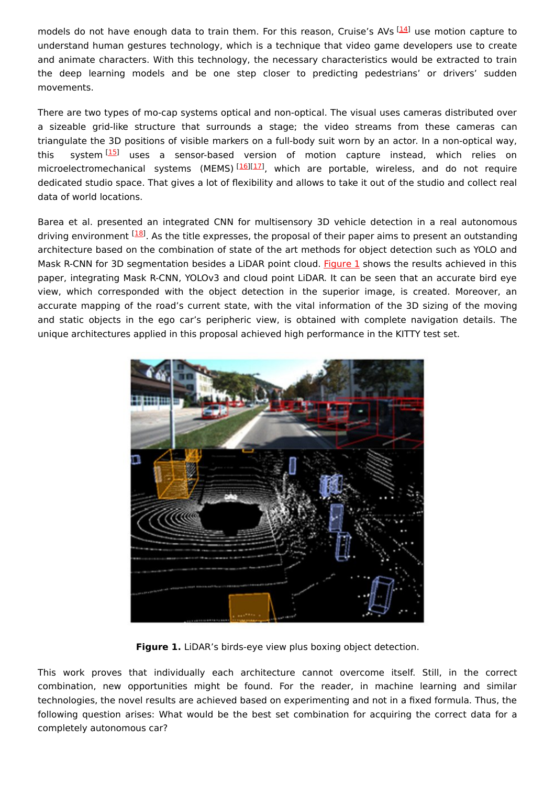models do not have enough data to train them. For this reason, Cruise's AVs [[14](#page-11-4)] use motion capture to understand human gestures technology, which is a technique that video game developers use to create and animate characters. With this technology, the necessary characteristics would be extracted to train the deep learning models and be one step closer to predicting pedestrians' or drivers' sudden movements.

There are two types of mo-cap systems optical and non-optical. The visual uses cameras distributed over a sizeable grid-like structure that surrounds a stage; the video streams from these cameras can triangulate the 3D positions of visible markers on a full-body suit worn by an actor. In a non-optical way, this system<sup>[[15](#page-11-5)]</sup> uses a sensor-based version of motion capture instead, which relies on microelectromechanical systems (MEMS)<sup>[\[16\]](#page-11-6)[[17](#page-11-7)]</sup>, which are portable, wireless, and do not require dedicated studio space. That gives a lot of flexibility and allows to take it out of the studio and collect real data of world locations.

Barea et al. presented an integrated CNN for multisensory 3D vehicle detection in a real autonomous driving environment <sup>[\[18](#page-11-8)]</sup>. As the title expresses, the proposal of their paper aims to present an outstanding architecture based on the combination of state of the art methods for object detection such as YOLO and Mask R-CNN for 3D segmentation besides a LiDAR point cloud. [Figure](https://www.mdpi.com/2076-3417/11/7/2925/htm#fig_body_display_applsci-11-02925-f015) 1 shows the results achieved in this paper, integrating Mask R-CNN, YOLOv3 and cloud point LiDAR. It can be seen that an accurate bird eye view, which corresponded with the object detection in the superior image, is created. Moreover, an accurate mapping of the road's current state, with the vital information of the 3D sizing of the moving and static objects in the ego car's peripheric view, is obtained with complete navigation details. The unique architectures applied in this proposal achieved high performance in the KITTY test set.



**Figure 1.** LiDAR's birds-eye view plus boxing object detection.

This work proves that individually each architecture cannot overcome itself. Still, in the correct combination, new opportunities might be found. For the reader, in machine learning and similar technologies, the novel results are achieved based on experimenting and not in a fixed formula. Thus, the following question arises: What would be the best set combination for acquiring the correct data for a completely autonomous car?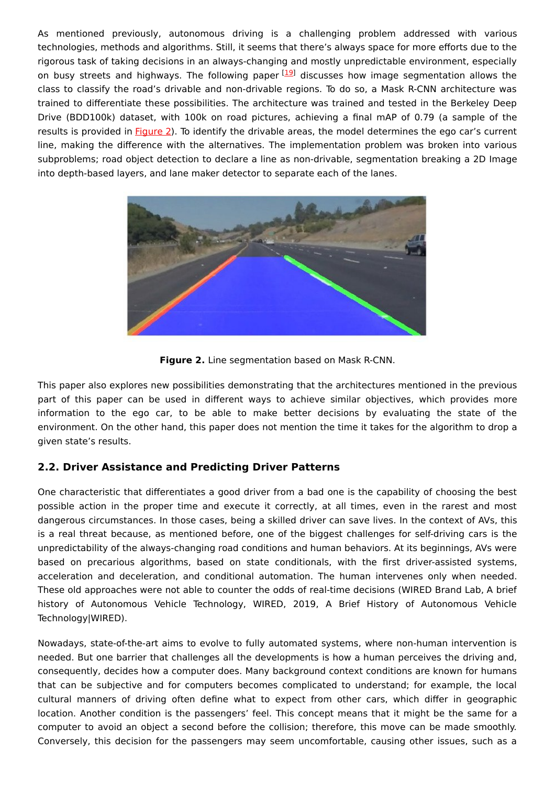As mentioned previously, autonomous driving is a challenging problem addressed with various technologies, methods and algorithms. Still, it seems that there's always space for more efforts due to the rigorous task of taking decisions in an always-changing and mostly unpredictable environment, especially on busy streets and highways. The following paper [\[19](#page-11-9)] discusses how image segmentation allows the class to classify the road's drivable and non-drivable regions. To do so, a Mask R-CNN architecture was trained to differentiate these possibilities. The architecture was trained and tested in the Berkeley Deep Drive (BDD100k) dataset, with 100k on road pictures, achieving a final mAP of 0.79 (a sample of the results is provided in **[Figure](https://www.mdpi.com/2076-3417/11/7/2925/htm#fig_body_display_applsci-11-02925-f016) 2**). To identify the drivable areas, the model determines the ego car's current line, making the difference with the alternatives. The implementation problem was broken into various subproblems; road object detection to declare a line as non-drivable, segmentation breaking a 2D Image into depth-based layers, and lane maker detector to separate each of the lanes.



**Figure 2.** Line segmentation based on Mask R-CNN.

This paper also explores new possibilities demonstrating that the architectures mentioned in the previous part of this paper can be used in different ways to achieve similar objectives, which provides more information to the ego car, to be able to make better decisions by evaluating the state of the environment. On the other hand, this paper does not mention the time it takes for the algorithm to drop a given state's results.

## **2.2. Driver Assistance and Predicting Driver Patterns**

One characteristic that differentiates a good driver from a bad one is the capability of choosing the best possible action in the proper time and execute it correctly, at all times, even in the rarest and most dangerous circumstances. In those cases, being a skilled driver can save lives. In the context of AVs, this is a real threat because, as mentioned before, one of the biggest challenges for self-driving cars is the unpredictability of the always-changing road conditions and human behaviors. At its beginnings, AVs were based on precarious algorithms, based on state conditionals, with the first driver-assisted systems, acceleration and deceleration, and conditional automation. The human intervenes only when needed. These old approaches were not able to counter the odds of real-time decisions (WIRED Brand Lab, A brief history of Autonomous Vehicle Technology, WIRED, 2019, A Brief History of Autonomous Vehicle Technology|WIRED).

Nowadays, state-of-the-art aims to evolve to fully automated systems, where non-human intervention is needed. But one barrier that challenges all the developments is how a human perceives the driving and, consequently, decides how a computer does. Many background context conditions are known for humans that can be subjective and for computers becomes complicated to understand; for example, the local cultural manners of driving often define what to expect from other cars, which differ in geographic location. Another condition is the passengers' feel. This concept means that it might be the same for a computer to avoid an object a second before the collision; therefore, this move can be made smoothly. Conversely, this decision for the passengers may seem uncomfortable, causing other issues, such as a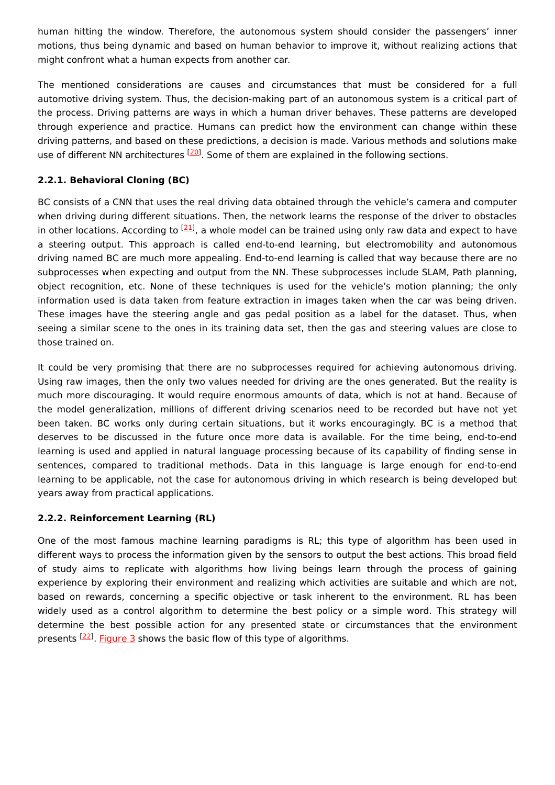human hitting the window. Therefore, the autonomous system should consider the passengers' inner motions, thus being dynamic and based on human behavior to improve it, without realizing actions that might confront what a human expects from another car.

The mentioned considerations are causes and circumstances that must be considered for a full automotive driving system. Thus, the decision-making part of an autonomous system is a critical part of the process. Driving patterns are ways in which a human driver behaves. These patterns are developed through experience and practice. Humans can predict how the environment can change within these driving patterns, and based on these predictions, a decision is made. Various methods and solutions make use of different NN architectures <sup>[\[20](#page-11-10)]</sup>. Some of them are explained in the following sections.

#### **2.2.1. Behavioral Cloning (BC)**

BC consists of a CNN that uses the real driving data obtained through the vehicle's camera and computer when driving during different situations. Then, the network learns the response of the driver to obstacles in other locations. According to <sup>[\[21](#page-11-11)]</sup>, a whole model can be trained using only raw data and expect to have a steering output. This approach is called end-to-end learning, but electromobility and autonomous driving named BC are much more appealing. End-to-end learning is called that way because there are no subprocesses when expecting and output from the NN. These subprocesses include SLAM, Path planning, object recognition, etc. None of these techniques is used for the vehicle's motion planning; the only information used is data taken from feature extraction in images taken when the car was being driven. These images have the steering angle and gas pedal position as a label for the dataset. Thus, when seeing a similar scene to the ones in its training data set, then the gas and steering values are close to those trained on.

It could be very promising that there are no subprocesses required for achieving autonomous driving. Using raw images, then the only two values needed for driving are the ones generated. But the reality is much more discouraging. It would require enormous amounts of data, which is not at hand. Because of the model generalization, millions of different driving scenarios need to be recorded but have not yet been taken. BC works only during certain situations, but it works encouragingly. BC is a method that deserves to be discussed in the future once more data is available. For the time being, end-to-end learning is used and applied in natural language processing because of its capability of finding sense in sentences, compared to traditional methods. Data in this language is large enough for end-to-end learning to be applicable, not the case for autonomous driving in which research is being developed but years away from practical applications.

#### **2.2.2. Reinforcement Learning (RL)**

One of the most famous machine learning paradigms is RL; this type of algorithm has been used in different ways to process the information given by the sensors to output the best actions. This broad field of study aims to replicate with algorithms how living beings learn through the process of gaining experience by exploring their environment and realizing which activities are suitable and which are not, based on rewards, concerning a specific objective or task inherent to the environment. RL has been widely used as a control algorithm to determine the best policy or a simple word. This strategy will determine the best possible action for any presented state or circumstances that the environment presents <sup>[22]</sup>. [Figure](https://www.mdpi.com/2076-3417/11/7/2925/htm#fig_body_display_applsci-11-02925-f017) 3 shows the basic flow of this type of algorithms.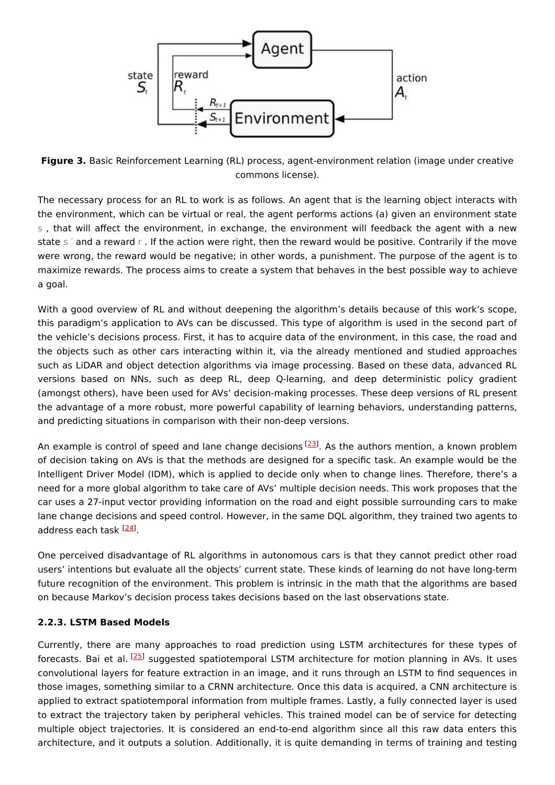

**Figure 3.** Basic Reinforcement Learning (RL) process, agent-environment relation (image under creative commons license).

The necessary process for an RL to work is as follows. An agent that is the learning object interacts with the environment, which can be virtual or real, the agent performs actions (a) given an environment state s , that will affect the environment, in exchange, the environment will feedback the agent with a new state s  $\epsilon$  and a reward r. If the action were right, then the reward would be positive. Contrarily if the move were wrong, the reward would be negative; in other words, a punishment. The purpose of the agent is to maximize rewards. The process aims to create a system that behaves in the best possible way to achieve a goal.

With a good overview of RL and without deepening the algorithm's details because of this work's scope, this paradigm's application to AVs can be discussed. This type of algorithm is used in the second part of the vehicle's decisions process. First, it has to acquire data of the environment, in this case, the road and the objects such as other cars interacting within it, via the already mentioned and studied approaches such as LiDAR and object detection algorithms via image processing. Based on these data, advanced RL versions based on NNs, such as deep RL, deep Q-learning, and deep deterministic policy gradient (amongst others), have been used for AVs' decision-making processes. These deep versions of RL present the advantage of a more robust, more powerful capability of learning behaviors, understanding patterns, and predicting situations in comparison with their non-deep versions.

An example is control of speed and lane change decisions [\[23](#page-11-13)]. As the authors mention, a known problem of decision taking on AVs is that the methods are designed for a specific task. An example would be the Intelligent Driver Model (IDM), which is applied to decide only when to change lines. Therefore, there's a need for a more global algorithm to take care of AVs' multiple decision needs. This work proposes that the car uses a 27-input vector providing information on the road and eight possible surrounding cars to make lane change decisions and speed control. However, in the same DQL algorithm, they trained two agents to address each task <sup>[<u>[24](#page-11-14)</u>]</sup>.

One perceived disadvantage of RL algorithms in autonomous cars is that they cannot predict other road users' intentions but evaluate all the objects' current state. These kinds of learning do not have long-term future recognition of the environment. This problem is intrinsic in the math that the algorithms are based on because Markov's decision process takes decisions based on the last observations state.

#### **2.2.3. LSTM Based Models**

Currently, there are many approaches to road prediction using LSTM architectures for these types of forecasts. Bai et al. <sup>[\[25](#page-11-15)]</sup> suggested spatiotemporal LSTM architecture for motion planning in AVs. It uses convolutional layers for feature extraction in an image, and it runs through an LSTM to find sequences in those images, something similar to a CRNN architecture. Once this data is acquired, a CNN architecture is applied to extract spatiotemporal information from multiple frames. Lastly, a fully connected layer is used to extract the trajectory taken by peripheral vehicles. This trained model can be of service for detecting multiple object trajectories. It is considered an end-to-end algorithm since all this raw data enters this architecture, and it outputs a solution. Additionally, it is quite demanding in terms of training and testing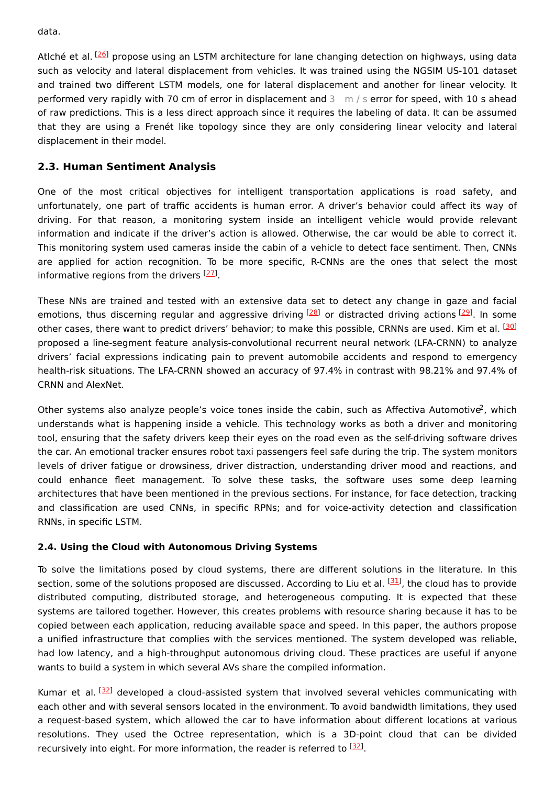data.

Atlché et al. <sup>[\[26](#page-11-16)]</sup> propose using an LSTM architecture for lane changing detection on highways, using data such as velocity and lateral displacement from vehicles. It was trained using the NGSIM US-101 dataset and trained two different LSTM models, one for lateral displacement and another for linear velocity. It performed very rapidly with 70 cm of error in displacement and 3 m / s error for speed, with 10 s ahead of raw predictions. This is a less direct approach since it requires the labeling of data. It can be assumed that they are using a Frenét like topology since they are only considering linear velocity and lateral displacement in their model.

## **2.3. Human Sentiment Analysis**

One of the most critical objectives for intelligent transportation applications is road safety, and unfortunately, one part of traffic accidents is human error. A driver's behavior could affect its way of driving. For that reason, a monitoring system inside an intelligent vehicle would provide relevant information and indicate if the driver's action is allowed. Otherwise, the car would be able to correct it. This monitoring system used cameras inside the cabin of a vehicle to detect face sentiment. Then, CNNs are applied for action recognition. To be more specific, R-CNNs are the ones that select the most informative regions from the drivers [\[27](#page-11-17)].

These NNs are trained and tested with an extensive data set to detect any change in gaze and facial emotions, thus discerning regular and aggressive driving <sup>[[28](#page-11-18)]</sup> or distracted driving actions <sup>[\[29](#page-11-19)]</sup>. In some other cases, there want to predict drivers' behavior; to make this possible, CRNNs are used. Kim et al. <sup>[\[30](#page-11-20)]</sup> proposed a line-segment feature analysis-convolutional recurrent neural network (LFA-CRNN) to analyze drivers' facial expressions indicating pain to prevent automobile accidents and respond to emergency health-risk situations. The LFA-CRNN showed an accuracy of 97.4% in contrast with 98.21% and 97.4% of CRNN and AlexNet.

Other systems also analyze people's voice tones inside the cabin, such as Affectiva Automotive<sup>2</sup>, which understands what is happening inside a vehicle. This technology works as both a driver and monitoring tool, ensuring that the safety drivers keep their eyes on the road even as the self-driving software drives the car. An emotional tracker ensures robot taxi passengers feel safe during the trip. The system monitors levels of driver fatigue or drowsiness, driver distraction, understanding driver mood and reactions, and could enhance fleet management. To solve these tasks, the software uses some deep learning architectures that have been mentioned in the previous sections. For instance, for face detection, tracking and classification are used CNNs, in specific RPNs; and for voice-activity detection and classification RNNs, in specific LSTM.

#### **2.4. Using the Cloud with Autonomous Driving Systems**

To solve the limitations posed by cloud systems, there are different solutions in the literature. In this section, some of the solutions proposed are discussed. According to Liu et al. <sup>[\[31\]](#page-11-21)</sup>, the cloud has to provide distributed computing, distributed storage, and heterogeneous computing. It is expected that these systems are tailored together. However, this creates problems with resource sharing because it has to be copied between each application, reducing available space and speed. In this paper, the authors propose a unified infrastructure that complies with the services mentioned. The system developed was reliable, had low latency, and a high-throughput autonomous driving cloud. These practices are useful if anyone wants to build a system in which several AVs share the compiled information.

Kumar et al. <sup>[[32\]](#page-11-22)</sup> developed a cloud-assisted system that involved several vehicles communicating with each other and with several sensors located in the environment. To avoid bandwidth limitations, they used a request-based system, which allowed the car to have information about different locations at various resolutions. They used the Octree representation, which is a 3D-point cloud that can be divided recursively into eight. For more information, the reader is referred to <sup>[\[32](#page-11-22)]</sup>.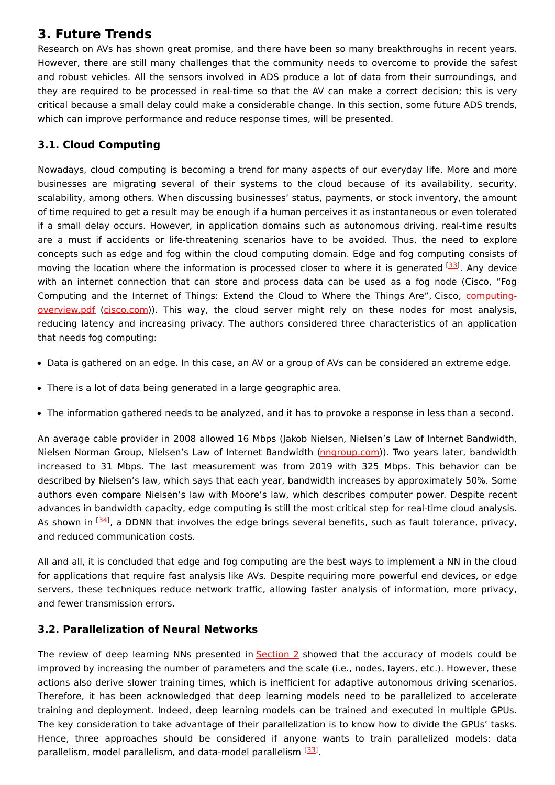# **3. Future Trends**

Research on AVs has shown great promise, and there have been so many breakthroughs in recent years. However, there are still many challenges that the community needs to overcome to provide the safest and robust vehicles. All the sensors involved in ADS produce a lot of data from their surroundings, and they are required to be processed in real-time so that the AV can make a correct decision; this is very critical because a small delay could make a considerable change. In this section, some future ADS trends, which can improve performance and reduce response times, will be presented.

## **3.1. Cloud Computing**

Nowadays, cloud computing is becoming a trend for many aspects of our everyday life. More and more businesses are migrating several of their systems to the cloud because of its availability, security, scalability, among others. When discussing businesses' status, payments, or stock inventory, the amount of time required to get a result may be enough if a human perceives it as instantaneous or even tolerated if a small delay occurs. However, in application domains such as autonomous driving, real-time results are a must if accidents or life-threatening scenarios have to be avoided. Thus, the need to explore concepts such as edge and fog within the cloud computing domain. Edge and fog computing consists of moving the location where the information is processed closer to where it is generated [[33](#page-11-23)]. Any device with an internet connection that can store and process data can be used as a fog node (Cisco, "Fog Computing and the Internet of Things: Extend the Cloud to Where the Things Are", Cisco, computing[overview.pdf](http://computing-overview.pdf) [\(cisco.com](http://cisco.com))). This way, the cloud server might rely on these nodes for most analysis, reducing latency and increasing privacy. The authors considered three characteristics of an application that needs fog computing:

- Data is gathered on an edge. In this case, an AV or a group of AVs can be considered an extreme edge.
- There is a lot of data being generated in a large geographic area.
- The information gathered needs to be analyzed, and it has to provoke a response in less than a second.

An average cable provider in 2008 allowed 16 Mbps (Jakob Nielsen, Nielsen's Law of Internet Bandwidth, Nielsen Norman Group, Nielsen's Law of Internet Bandwidth [\(nngroup.com](http://nngroup.com))). Two years later, bandwidth increased to 31 Mbps. The last measurement was from 2019 with 325 Mbps. This behavior can be described by Nielsen's law, which says that each year, bandwidth increases by approximately 50%. Some authors even compare Nielsen's law with Moore's law, which describes computer power. Despite recent advances in bandwidth capacity, edge computing is still the most critical step for real-time cloud analysis. As shown in  $^{[34]}$  $^{[34]}$  $^{[34]}$ , a DDNN that involves the edge brings several benefits, such as fault tolerance, privacy, and reduced communication costs.

All and all, it is concluded that edge and fog computing are the best ways to implement a NN in the cloud for applications that require fast analysis like AVs. Despite requiring more powerful end devices, or edge servers, these techniques reduce network traffic, allowing faster analysis of information, more privacy, and fewer transmission errors.

## **3.2. Parallelization of Neural Networks**

The review of deep learning NNs presented in [Section](https://www.mdpi.com/2076-3417/11/7/2925/htm#sec2-applsci-11-02925) 2 showed that the accuracy of models could be improved by increasing the number of parameters and the scale (i.e., nodes, layers, etc.). However, these actions also derive slower training times, which is inefficient for adaptive autonomous driving scenarios. Therefore, it has been acknowledged that deep learning models need to be parallelized to accelerate training and deployment. Indeed, deep learning models can be trained and executed in multiple GPUs. The key consideration to take advantage of their parallelization is to know how to divide the GPUs' tasks. Hence, three approaches should be considered if anyone wants to train parallelized models: data parallelism, model parallelism, and data-model parallelism [\[33](#page-11-23)].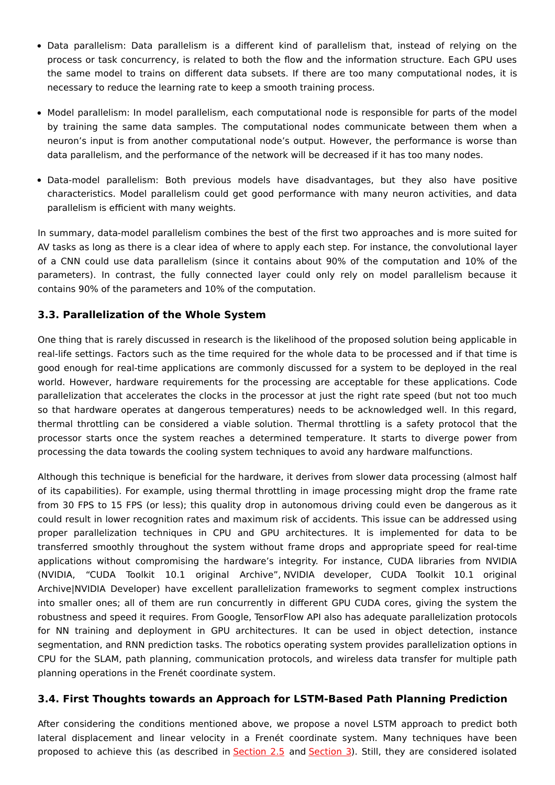- Data parallelism: Data parallelism is a different kind of parallelism that, instead of relying on the process or task concurrency, is related to both the flow and the information structure. Each GPU uses the same model to trains on different data subsets. If there are too many computational nodes, it is necessary to reduce the learning rate to keep a smooth training process.
- Model parallelism: In model parallelism, each computational node is responsible for parts of the model by training the same data samples. The computational nodes communicate between them when a neuron's input is from another computational node's output. However, the performance is worse than data parallelism, and the performance of the network will be decreased if it has too many nodes.
- Data-model parallelism: Both previous models have disadvantages, but they also have positive characteristics. Model parallelism could get good performance with many neuron activities, and data parallelism is efficient with many weights.

In summary, data-model parallelism combines the best of the first two approaches and is more suited for AV tasks as long as there is a clear idea of where to apply each step. For instance, the convolutional layer of a CNN could use data parallelism (since it contains about 90% of the computation and 10% of the parameters). In contrast, the fully connected layer could only rely on model parallelism because it contains 90% of the parameters and 10% of the computation.

## **3.3. Parallelization of the Whole System**

One thing that is rarely discussed in research is the likelihood of the proposed solution being applicable in real-life settings. Factors such as the time required for the whole data to be processed and if that time is good enough for real-time applications are commonly discussed for a system to be deployed in the real world. However, hardware requirements for the processing are acceptable for these applications. Code parallelization that accelerates the clocks in the processor at just the right rate speed (but not too much so that hardware operates at dangerous temperatures) needs to be acknowledged well. In this regard, thermal throttling can be considered a viable solution. Thermal throttling is a safety protocol that the processor starts once the system reaches a determined temperature. It starts to diverge power from processing the data towards the cooling system techniques to avoid any hardware malfunctions.

Although this technique is beneficial for the hardware, it derives from slower data processing (almost half of its capabilities). For example, using thermal throttling in image processing might drop the frame rate from 30 FPS to 15 FPS (or less); this quality drop in autonomous driving could even be dangerous as it could result in lower recognition rates and maximum risk of accidents. This issue can be addressed using proper parallelization techniques in CPU and GPU architectures. It is implemented for data to be transferred smoothly throughout the system without frame drops and appropriate speed for real-time applications without compromising the hardware's integrity. For instance, CUDA libraries from NVIDIA (NVIDIA, "CUDA Toolkit 10.1 original Archive", NVIDIA developer, CUDA Toolkit 10.1 original Archive|NVIDIA Developer) have excellent parallelization frameworks to segment complex instructions into smaller ones; all of them are run concurrently in different GPU CUDA cores, giving the system the robustness and speed it requires. From Google, TensorFlow API also has adequate parallelization protocols for NN training and deployment in GPU architectures. It can be used in object detection, instance segmentation, and RNN prediction tasks. The robotics operating system provides parallelization options in CPU for the SLAM, path planning, communication protocols, and wireless data transfer for multiple path planning operations in the Frenét coordinate system.

## **3.4. First Thoughts towards an Approach for LSTM-Based Path Planning Prediction**

After considering the conditions mentioned above, we propose a novel LSTM approach to predict both lateral displacement and linear velocity in a Frenét coordinate system. Many techniques have been proposed to achieve this (as described in [Section](https://www.mdpi.com/2076-3417/11/7/2925/htm#sec2dot5-applsci-11-02925) 2.5 and [Section](https://www.mdpi.com/2076-3417/11/7/2925/htm#sec3-applsci-11-02925) 3). Still, they are considered isolated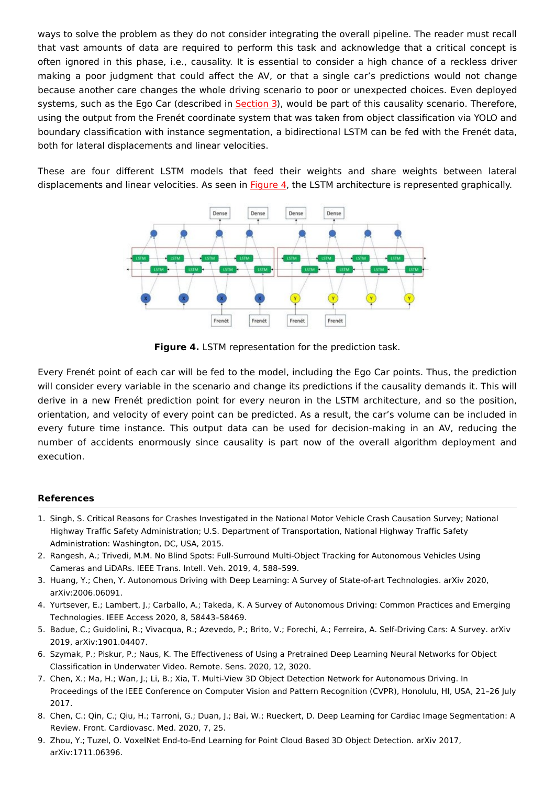ways to solve the problem as they do not consider integrating the overall pipeline. The reader must recall that vast amounts of data are required to perform this task and acknowledge that a critical concept is often ignored in this phase, i.e., causality. It is essential to consider a high chance of a reckless driver making a poor judgment that could affect the AV, or that a single car's predictions would not change because another care changes the whole driving scenario to poor or unexpected choices. Even deployed systems, such as the Ego Car (described in [Section](https://www.mdpi.com/2076-3417/11/7/2925/htm#sec3-applsci-11-02925) 3), would be part of this causality scenario. Therefore, using the output from the Frenét coordinate system that was taken from object classification via YOLO and boundary classification with instance segmentation, a bidirectional LSTM can be fed with the Frenét data, both for lateral displacements and linear velocities.

These are four different LSTM models that feed their weights and share weights between lateral displacements and linear velocities. As seen in [Figure](https://www.mdpi.com/2076-3417/11/7/2925/htm#fig_body_display_applsci-11-02925-f018) 4, the LSTM architecture is represented graphically.



**Figure 4.** LSTM representation for the prediction task.

Every Frenét point of each car will be fed to the model, including the Ego Car points. Thus, the prediction will consider every variable in the scenario and change its predictions if the causality demands it. This will derive in a new Frenét prediction point for every neuron in the LSTM architecture, and so the position, orientation, and velocity of every point can be predicted. As a result, the car's volume can be included in every future time instance. This output data can be used for decision-making in an AV, reducing the number of accidents enormously since causality is part now of the overall algorithm deployment and execution.

#### **References**

- <span id="page-10-0"></span>1. Singh, S. Critical Reasons for Crashes Investigated in the National Motor Vehicle Crash Causation Survey; National Highway Traffic Safety Administration; U.S. Department of Transportation, National Highway Traffic Safety Administration: Washington, DC, USA, 2015.
- <span id="page-10-1"></span>2. Rangesh, A.; Trivedi, M.M. No Blind Spots: Full-Surround Multi-Object Tracking for Autonomous Vehicles Using Cameras and LiDARs. IEEE Trans. Intell. Veh. 2019, 4, 588–599.
- <span id="page-10-2"></span>3. Huang, Y.; Chen, Y. Autonomous Driving with Deep Learning: A Survey of State-of-art Technologies. arXiv 2020, arXiv:2006.06091.
- <span id="page-10-3"></span>4. Yurtsever, E.; Lambert, J.; Carballo, A.; Takeda, K. A Survey of Autonomous Driving: Common Practices and Emerging Technologies. IEEE Access 2020, 8, 58443–58469.
- <span id="page-10-4"></span>5. Badue, C.; Guidolini, R.; Vivacqua, R.; Azevedo, P.; Brito, V.; Forechi, A.; Ferreira, A. Self-Driving Cars: A Survey. arXiv 2019, arXiv:1901.04407.
- <span id="page-10-5"></span>6. Szymak, P.; Piskur, P.; Naus, K. The Effectiveness of Using a Pretrained Deep Learning Neural Networks for Object Classification in Underwater Video. Remote. Sens. 2020, 12, 3020.
- <span id="page-10-6"></span>7. Chen, X.; Ma, H.; Wan, J.; Li, B.; Xia, T. Multi-View 3D Object Detection Network for Autonomous Driving. In Proceedings of the IEEE Conference on Computer Vision and Pattern Recognition (CVPR), Honolulu, HI, USA, 21–26 July 2017.
- <span id="page-10-7"></span>8. Chen, C.; Qin, C.; Qiu, H.; Tarroni, G.; Duan, J.; Bai, W.; Rueckert, D. Deep Learning for Cardiac Image Segmentation: A Review. Front. Cardiovasc. Med. 2020, 7, 25.
- <span id="page-10-8"></span>9. Zhou, Y.; Tuzel, O. VoxelNet End-to-End Learning for Point Cloud Based 3D Object Detection. arXiv 2017, arXiv:1711.06396.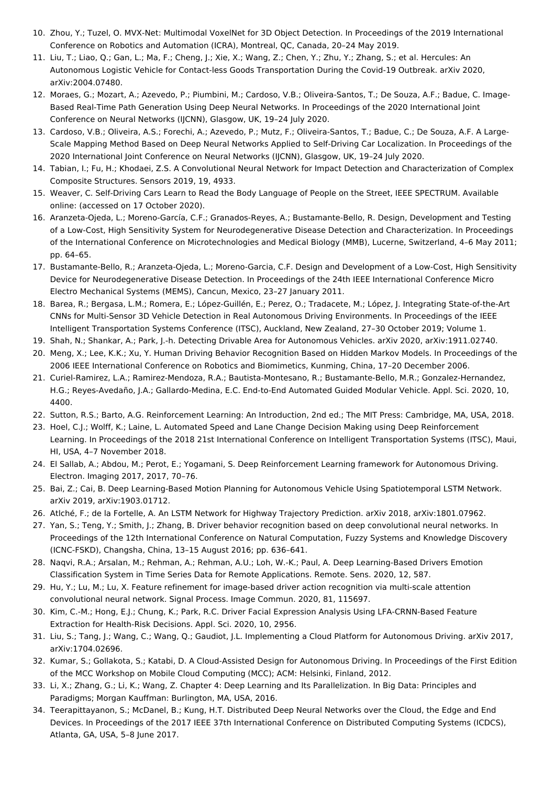- <span id="page-11-0"></span>10. Zhou, Y.; Tuzel, O. MVX-Net: Multimodal VoxelNet for 3D Object Detection. In Proceedings of the 2019 International Conference on Robotics and Automation (ICRA), Montreal, QC, Canada, 20–24 May 2019.
- <span id="page-11-1"></span>11. Liu, T.; Liao, Q.; Gan, L.; Ma, F.; Cheng, J.; Xie, X.; Wang, Z.; Chen, Y.; Zhu, Y.; Zhang, S.; et al. Hercules: An Autonomous Logistic Vehicle for Contact-less Goods Transportation During the Covid-19 Outbreak. arXiv 2020, arXiv:2004.07480.
- <span id="page-11-2"></span>12. Moraes, G.; Mozart, A.; Azevedo, P.; Piumbini, M.; Cardoso, V.B.; Oliveira-Santos, T.; De Souza, A.F.; Badue, C. Image-Based Real-Time Path Generation Using Deep Neural Networks. In Proceedings of the 2020 International Joint Conference on Neural Networks (IJCNN), Glasgow, UK, 19–24 July 2020.
- <span id="page-11-3"></span>13. Cardoso, V.B.; Oliveira, A.S.; Forechi, A.; Azevedo, P.; Mutz, F.; Oliveira-Santos, T.; Badue, C.; De Souza, A.F. A Large-Scale Mapping Method Based on Deep Neural Networks Applied to Self-Driving Car Localization. In Proceedings of the 2020 International Joint Conference on Neural Networks (IJCNN), Glasgow, UK, 19–24 July 2020.
- <span id="page-11-4"></span>14. Tabian, I.; Fu, H.; Khodaei, Z.S. A Convolutional Neural Network for Impact Detection and Characterization of Complex Composite Structures. Sensors 2019, 19, 4933.
- <span id="page-11-5"></span>15. Weaver, C. Self-Driving Cars Learn to Read the Body Language of People on the Street, IEEE SPECTRUM. Available online: (accessed on 17 October 2020).
- <span id="page-11-6"></span>16. Aranzeta-Ojeda, L.; Moreno-García, C.F.; Granados-Reyes, A.; Bustamante-Bello, R. Design, Development and Testing of a Low-Cost, High Sensitivity System for Neurodegenerative Disease Detection and Characterization. In Proceedings of the International Conference on Microtechnologies and Medical Biology (MMB), Lucerne, Switzerland, 4–6 May 2011; pp. 64–65.
- <span id="page-11-7"></span>17. Bustamante-Bello, R.; Aranzeta-Ojeda, L.; Moreno-Garcia, C.F. Design and Development of a Low-Cost, High Sensitivity Device for Neurodegenerative Disease Detection. In Proceedings of the 24th IEEE International Conference Micro Electro Mechanical Systems (MEMS), Cancun, Mexico, 23–27 January 2011.
- <span id="page-11-8"></span>18. Barea, R.; Bergasa, L.M.; Romera, E.; López-Guillén, E.; Perez, O.; Tradacete, M.; López, J. Integrating State-of-the-Art CNNs for Multi-Sensor 3D Vehicle Detection in Real Autonomous Driving Environments. In Proceedings of the IEEE Intelligent Transportation Systems Conference (ITSC), Auckland, New Zealand, 27–30 October 2019; Volume 1.
- <span id="page-11-9"></span>19. Shah, N.; Shankar, A.; Park, J.-h. Detecting Drivable Area for Autonomous Vehicles. arXiv 2020, arXiv:1911.02740.
- <span id="page-11-10"></span>20. Meng, X.; Lee, K.K.; Xu, Y. Human Driving Behavior Recognition Based on Hidden Markov Models. In Proceedings of the 2006 IEEE International Conference on Robotics and Biomimetics, Kunming, China, 17–20 December 2006.
- <span id="page-11-11"></span>21. Curiel-Ramirez, L.A.; Ramirez-Mendoza, R.A.; Bautista-Montesano, R.; Bustamante-Bello, M.R.; Gonzalez-Hernandez, H.G.; Reyes-Avedaño, J.A.; Gallardo-Medina, E.C. End-to-End Automated Guided Modular Vehicle. Appl. Sci. 2020, 10, 4400.
- <span id="page-11-12"></span>22. Sutton, R.S.; Barto, A.G. Reinforcement Learning: An Introduction, 2nd ed.; The MIT Press: Cambridge, MA, USA, 2018.
- <span id="page-11-13"></span>23. Hoel, C.J.; Wolff, K.; Laine, L. Automated Speed and Lane Change Decision Making using Deep Reinforcement Learning. In Proceedings of the 2018 21st International Conference on Intelligent Transportation Systems (ITSC), Maui, HI, USA, 4–7 November 2018.
- <span id="page-11-14"></span>24. El Sallab, A.; Abdou, M.; Perot, E.; Yogamani, S. Deep Reinforcement Learning framework for Autonomous Driving. Electron. Imaging 2017, 2017, 70–76.
- <span id="page-11-15"></span>25. Bai, Z.; Cai, B. Deep Learning-Based Motion Planning for Autonomous Vehicle Using Spatiotemporal LSTM Network. arXiv 2019, arXiv:1903.01712.
- <span id="page-11-16"></span>26. Atlché, F.; de la Fortelle, A. An LSTM Network for Highway Trajectory Prediction. arXiv 2018, arXiv:1801.07962.
- <span id="page-11-17"></span>27. Yan, S.; Teng, Y.; Smith, J.; Zhang, B. Driver behavior recognition based on deep convolutional neural networks. In Proceedings of the 12th International Conference on Natural Computation, Fuzzy Systems and Knowledge Discovery (ICNC-FSKD), Changsha, China, 13–15 August 2016; pp. 636–641.
- <span id="page-11-18"></span>28. Naqvi, R.A.; Arsalan, M.; Rehman, A.; Rehman, A.U.; Loh, W.-K.; Paul, A. Deep Learning-Based Drivers Emotion Classification System in Time Series Data for Remote Applications. Remote. Sens. 2020, 12, 587.
- <span id="page-11-19"></span>29. Hu, Y.; Lu, M.; Lu, X. Feature refinement for image-based driver action recognition via multi-scale attention convolutional neural network. Signal Process. Image Commun. 2020, 81, 115697.
- <span id="page-11-20"></span>30. Kim, C.-M.; Hong, E.J.; Chung, K.; Park, R.C. Driver Facial Expression Analysis Using LFA-CRNN-Based Feature Extraction for Health-Risk Decisions. Appl. Sci. 2020, 10, 2956.
- <span id="page-11-21"></span>31. Liu, S.; Tang, J.; Wang, C.; Wang, Q.; Gaudiot, J.L. Implementing a Cloud Platform for Autonomous Driving. arXiv 2017, arXiv:1704.02696.
- <span id="page-11-22"></span>32. Kumar, S.; Gollakota, S.; Katabi, D. A Cloud-Assisted Design for Autonomous Driving. In Proceedings of the First Edition of the MCC Workshop on Mobile Cloud Computing (MCC); ACM: Helsinki, Finland, 2012.
- <span id="page-11-23"></span>33. Li, X.; Zhang, G.; Li, K.; Wang, Z. Chapter 4: Deep Learning and Its Parallelization. In Big Data: Principles and Paradigms; Morgan Kauffman: Burlington, MA, USA, 2016.
- <span id="page-11-24"></span>34. Teerapittayanon, S.; McDanel, B.; Kung, H.T. Distributed Deep Neural Networks over the Cloud, the Edge and End Devices. In Proceedings of the 2017 IEEE 37th International Conference on Distributed Computing Systems (ICDCS), Atlanta, GA, USA, 5–8 June 2017.